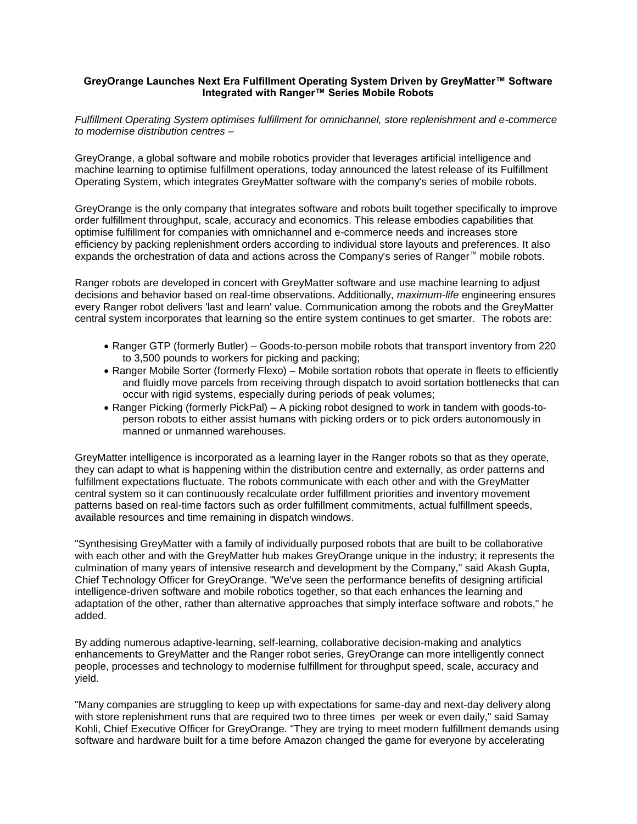## **GreyOrange Launches Next Era Fulfillment Operating System Driven by GreyMatter™ Software Integrated with Ranger™ Series Mobile Robots**

*Fulfillment Operating System optimises fulfillment for omnichannel, store replenishment and e-commerce to modernise distribution centres –*

GreyOrange, a global software and mobile robotics provider that leverages artificial intelligence and machine learning to optimise fulfillment operations, today announced the latest release of its Fulfillment Operating System, which integrates GreyMatter software with the company's series of mobile robots.

GreyOrange is the only company that integrates software and robots built together specifically to improve order fulfillment throughput, scale, accuracy and economics. This release embodies capabilities that optimise fulfillment for companies with omnichannel and e-commerce needs and increases store efficiency by packing replenishment orders according to individual store layouts and preferences. It also expands the orchestration of data and actions across the Company's series of Ranger™ mobile robots.

Ranger robots are developed in concert with GreyMatter software and use machine learning to adjust decisions and behavior based on real-time observations. Additionally, *maximum-life* engineering ensures every Ranger robot delivers 'last and learn' value. Communication among the robots and the GreyMatter central system incorporates that learning so the entire system continues to get smarter. The robots are:

- Ranger GTP (formerly Butler) Goods-to-person mobile robots that transport inventory from 220 to 3,500 pounds to workers for picking and packing;
- Ranger Mobile Sorter (formerly Flexo) Mobile sortation robots that operate in fleets to efficiently and fluidly move parcels from receiving through dispatch to avoid sortation bottlenecks that can occur with rigid systems, especially during periods of peak volumes;
- Ranger Picking (formerly PickPal) A picking robot designed to work in tandem with goods-toperson robots to either assist humans with picking orders or to pick orders autonomously in manned or unmanned warehouses.

GreyMatter intelligence is incorporated as a learning layer in the Ranger robots so that as they operate, they can adapt to what is happening within the distribution centre and externally, as order patterns and fulfillment expectations fluctuate. The robots communicate with each other and with the GreyMatter central system so it can continuously recalculate order fulfillment priorities and inventory movement patterns based on real-time factors such as order fulfillment commitments, actual fulfillment speeds, available resources and time remaining in dispatch windows.

"Synthesising GreyMatter with a family of individually purposed robots that are built to be collaborative with each other and with the GreyMatter hub makes GreyOrange unique in the industry; it represents the culmination of many years of intensive research and development by the Company," said Akash Gupta, Chief Technology Officer for GreyOrange. "We've seen the performance benefits of designing artificial intelligence-driven software and mobile robotics together, so that each enhances the learning and adaptation of the other, rather than alternative approaches that simply interface software and robots," he added.

By adding numerous adaptive-learning, self-learning, collaborative decision-making and analytics enhancements to GreyMatter and the Ranger robot series, GreyOrange can more intelligently connect people, processes and technology to modernise fulfillment for throughput speed, scale, accuracy and yield.

"Many companies are struggling to keep up with expectations for same-day and next-day delivery along with store replenishment runs that are required two to three times per week or even daily," said Samay Kohli, Chief Executive Officer for GreyOrange. "They are trying to meet modern fulfillment demands using software and hardware built for a time before Amazon changed the game for everyone by accelerating